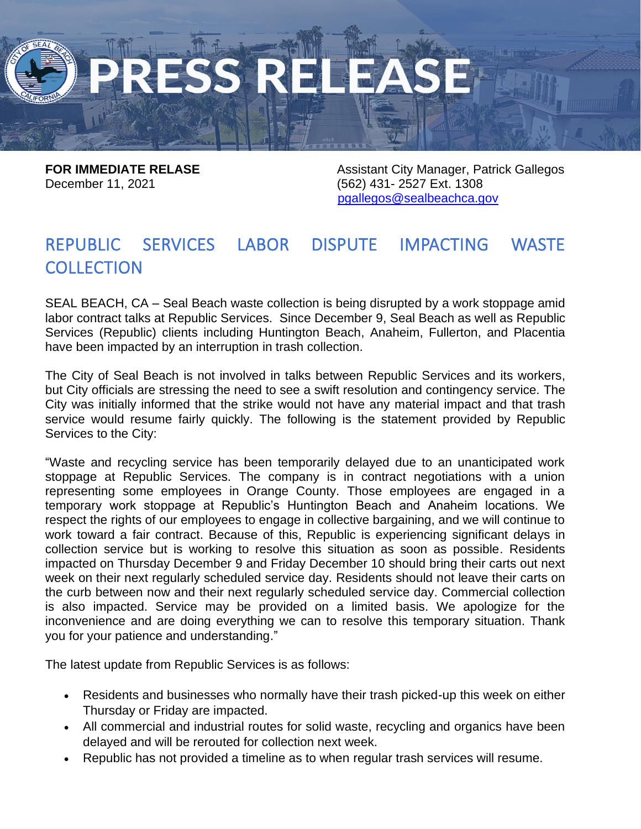December 11, 2021 (562) 431- 2527 Ext. 1308

**FOR IMMEDIATE RELASE Assistant City Manager, Patrick Gallegos** [pgallegos@sealbeachca.gov](mailto:pgallegos@sealbeachca.gov)

## REPUBLIC SERVICES LABOR DISPUTE IMPACTING WASTE **COLLECTION**

SEAL BEACH, CA – Seal Beach waste collection is being disrupted by a work stoppage amid labor contract talks at Republic Services. Since December 9, Seal Beach as well as Republic Services (Republic) clients including Huntington Beach, Anaheim, Fullerton, and Placentia have been impacted by an interruption in trash collection.

The City of Seal Beach is not involved in talks between Republic Services and its workers, but City officials are stressing the need to see a swift resolution and contingency service. The City was initially informed that the strike would not have any material impact and that trash service would resume fairly quickly. The following is the statement provided by Republic Services to the City:

"Waste and recycling service has been temporarily delayed due to an unanticipated work stoppage at Republic Services. The company is in contract negotiations with a union representing some employees in Orange County. Those employees are engaged in a temporary work stoppage at Republic's Huntington Beach and Anaheim locations. We respect the rights of our employees to engage in collective bargaining, and we will continue to work toward a fair contract. Because of this, Republic is experiencing significant delays in collection service but is working to resolve this situation as soon as possible. Residents impacted on Thursday December 9 and Friday December 10 should bring their carts out next week on their next regularly scheduled service day. Residents should not leave their carts on the curb between now and their next regularly scheduled service day. Commercial collection is also impacted. Service may be provided on a limited basis. We apologize for the inconvenience and are doing everything we can to resolve this temporary situation. Thank you for your patience and understanding."

The latest update from Republic Services is as follows:

- Residents and businesses who normally have their trash picked-up this week on either Thursday or Friday are impacted.
- All commercial and industrial routes for solid waste, recycling and organics have been delayed and will be rerouted for collection next week.
- Republic has not provided a timeline as to when regular trash services will resume.